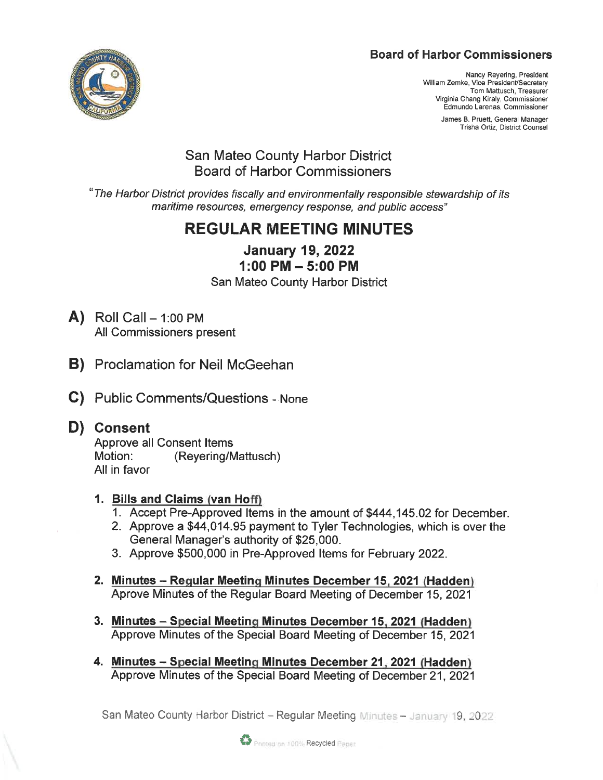# **Board of Harbor Commissioners**



Nancy Reyering, President William Zemke, Vice President/Secretary Tom Mattusch, Treasurer Virginia Chang Kiraly, Commissioner Edmundo Larenas, Commissioner

> James B. Pruett, General Manager Trisha Ortiz, District Counsel

# San Mateo County Harbor District Board of Harbor Commissioners

'The Harbor District provides fiscally and environmentally responsible stewardship of its maritime resources, emergency response, and public access"

# REGULAR MEETING MINUTES

January 19, 2022 1:00 PM-5:00 PM

San Mateo County Harbor District

- $\mathsf{A}$ ) Roll Call 1:00 PM All Commissioners present
- B) Proclamation for Neil McGeehan
- C) Public Comments/Questions None

# D) Consent

Approve all Consent Items Motion: (Reyering/Mattusch) All in favor

# 1. Bills and Claims (van Hoff)

- 1. Accept Pre-Approved Items in the amount of \$444, 145.02 for December.
- 2. Approve a \$44, 014. 95 payment to Tyler Technologies, which is over the General Manager's authority of \$25, 000.
- 3. Approve \$500, 000 in Pre-Approved Items for February 2022.
- 2. Minutes Regular Meeting Minutes December 15, 2021 (Hadden) Aprove Minutes of the Regular Board Meeting of December 15, 2021
- 3. Minutes Special Meeting Minutes December 15, 2021 (Hadden) Approve Minutes of the Special Board Meeting of December 15, 2021
- 4. Minutes Special Meeting Minutes December 21, 2021 (Hadden) Approve Minutes of the Special Board Meeting of December 21, 2021

San Mateo County Harbor District – Regular Meeting Minutes – January 19, 20

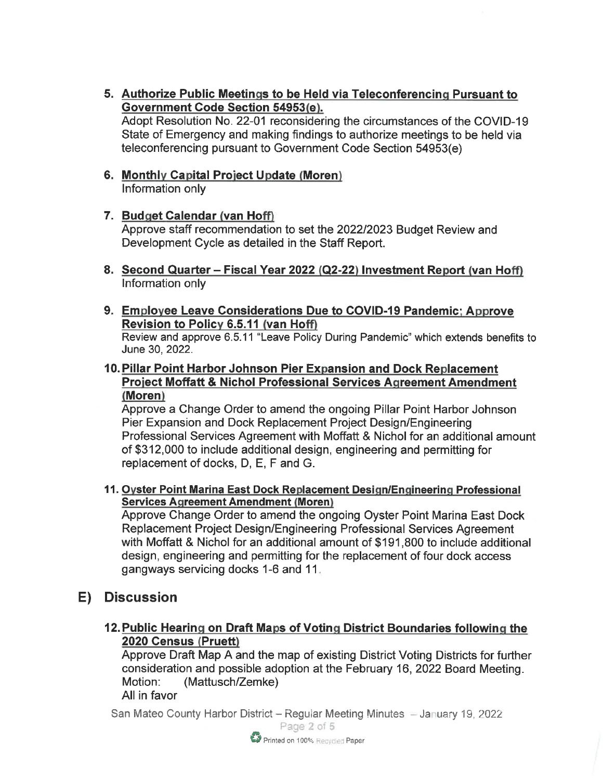5. Authorize Public Meetings to be Held via Teleconferencing Pursuant to Government Code Section 54953(e). Adopt Resolution No. 22-01 reconsidering the circumstances of the COVID-19 State of Emergency and making findings to authorize meetings to be held via

teleconferencing pursuant to Government Code Section 54953(e)

- 6. Monthly Capital Project Update (Moren) Information only
- 7. Budget Calendar (van Hoff) Approve staff recommendation to set the 2022/2023 Budget Review and Development Cycle as detailed in the Staff Report.
- 8. Second Quarter Fiscal Year 2022 (Q2-22) Investment Report (van Hoff) Information only
- 9. Employee Leave Considerations Due to COVID-19 Pandemic: Approve Revision to Policy 6.5.11 (van Hoff) Review and approve 6. 5. 11 "Leave Policy During Pandemic" which extends benefits to June 30, 2022.
- 10. Pillar Point Harbor Johnson Pier Expansion and Dock Replacement **Project Moffatt & Nichol Professional Services Agreement Amendment** Moren

Approve a Change Order to amend the ongoing Pillar Point Harbor Johnson Pier Expansion and Dock Replacement Project Design/Engineering Professional Services Agreement with Moffatt & Nichol for an additional amount of \$312, 000 to include additional design, engineering and permitting for replacement of docks, D, E, F and G.

11. Oyster Point Marina East Dock Replacement Design/Engineering Professional **Services Agreement Amendment (Moren)** 

Approve Change Order to amend the ongoing Oyster Point Marina East Dock Replacement Project Design/Engineering Professional Services Agreement with Moffatt & Nichol for an additional amount of \$191 ,800 to include additional design, engineering and permitting for the replacement of four dock access gangways servicing docks 1-6 and 11

# E) Discussion

12. Public Hearing on Draft Maps of Voting District Boundaries following the 2020 Census (Pruett)

Approve Draft Map A and the map of existing District Voting Districts for further consideration and possible adoption at the February 16, 2022 Board Meeting. Motion: (Mattusch/Zemke) All in favor

San Mateo County Harbor District - Regular Meeting Minutes - January 19, 2022

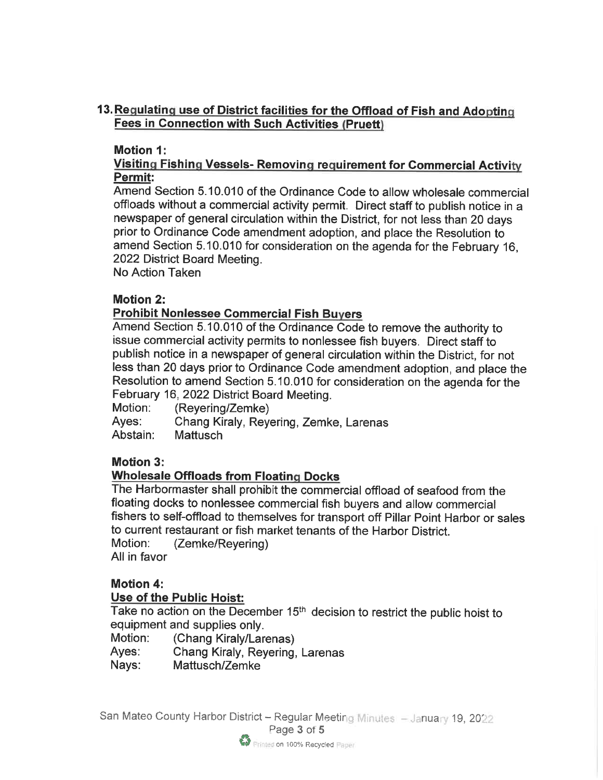# 13. Regulating use of District facilities for the Offload of Fish and Adopting **Fees in Connection with Such Activities (Pruett)**

#### Motion 1:

### Visiting Fishing Vessels- Removing requirement for Commercial Activity Permit:

Amend Section 5. 10. 010 of the Ordinance Code to allow wholesale commercial offloads without a commercial activity permit. Direct staff to publish notice in a newspaper of general circulation within the District, for not less than 20 days prior to Ordinance Code amendment adoption, and place the Resolution to amend Section 5. 10. 010 for consideration on the agenda for the February 16, 2022 District Board Meeting.

No Action Taken

#### Motion 2:

# **Prohibit Nonlessee Commercial Fish Buyers**

Amend Section 5. 10. 010 of the Ordinance Code to remove the authority to issue commercial activity permits to nonlessee fish buyers. Direct staff to publish notice in a newspaper of general circulation within the District, for not less than 20 days prior to Ordinance Code amendment adoption, and place the Resolution to amend Section 5. 10. 010 for consideration on the agenda for the February 16, 2022 District Board Meeting.

Motion: (Reyering/Zemke) Ayes: Chang Kiraly, Reyering, Zemke, Larenas Abstain: Mattusch

# Motion 3:

# Wholesale Offloads from Floating Docks

The Harbormaster shall prohibit the commercial offload of seafood from the floating docks to nonlessee commercial fish buyers and allow commercial fishers to self-offload to themselves for transport off Pillar Point Harbor or sales to current restaurant or fish market tenants of the Harbor District. Motion: (Zemke/Reyering) All in favor

# Motion 4:

#### Use of the Public Hoist:

Take no action on the December 15<sup>th</sup> decision to restrict the public hoist to equipment and supplies only.

- Motion: (Chang Kiraly/Larenas)
- Ayes: Chang Kiraly, Reyering, Larenas

Nays: Mattusch/Zemke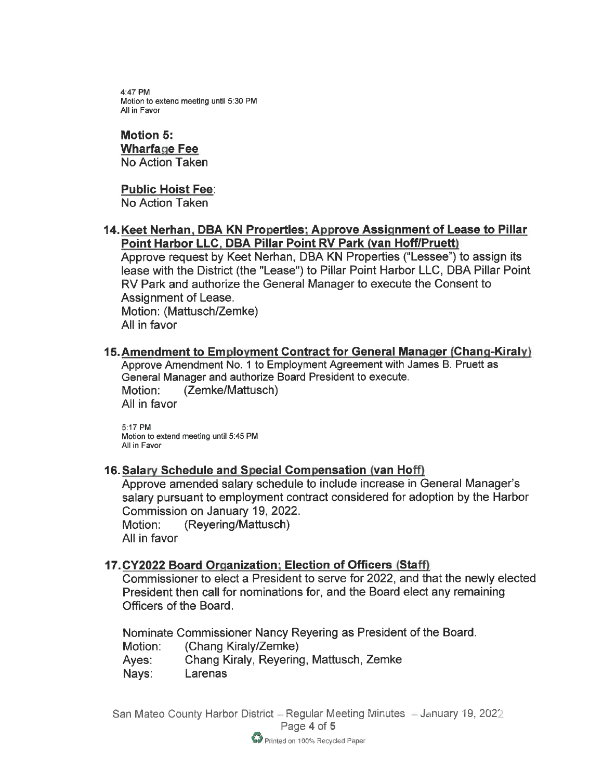4:47 PM Motion to extend meeting until 5:30 PM All in Favor

### Motion 5:

**Wharfage Fee** No Action Taken

#### Public Hoist Fee:

No Action Taken

#### 14. Keet Nerhan, DBA KN Properties: Approve Assignment of Lease to Pillar Point Harbor LLC, DBA Pillar Point RV Park (van Hoff/Pruett)

Approve request by Keet Nerhan, DBA KN Properties ("Lessee") to assign its lease with the District (the "Lease") to Pillar Point Harbor LLC, DBA Pillar Point RV Park and authorize the General Manager to execute the Consent to Assignment of Lease.

Motion: (Mattusch/Zemke) All in favor

### 15. Amendment to Employment Contract for General Manager (Chang-Kiraly)

Approve Amendment No. 1 to Employment Agreement with James B. Pruett as General Manager and authorize Board President to execute. Motion: (Zemke/Mattusch) All in favor

5:17 PM Motion to extend meeting until 5:45 PM All in Favor

#### 16. Salary Schedule and Special Compensation (van Hoff)

Approve amended salary schedule to include increase in General Manager's salary pursuant to employment contract considered for adoption by the Harbor Commission on January 19, 2022. Motion: (Reyering/Mattusch) All in favor

#### 17. CY2022 Board Organization: Election of Officers (Staff)

Commissioner to elect a President to serve for 2022, and that the newly elected President then call for nominations for, and the Board elect any remaining Officers of the Board.

Nominate Commissioner Nancy Reyering as President of the Board. Motion: (Chang Kiraly/Zemke)

Ayes: Chang Kiraly, Reyering, Mattusch, Zemke

Nays: Larenas

San Mateo County Harbor District - Regular Meeting Minutes - January 19, 2022 Page 4 of 5